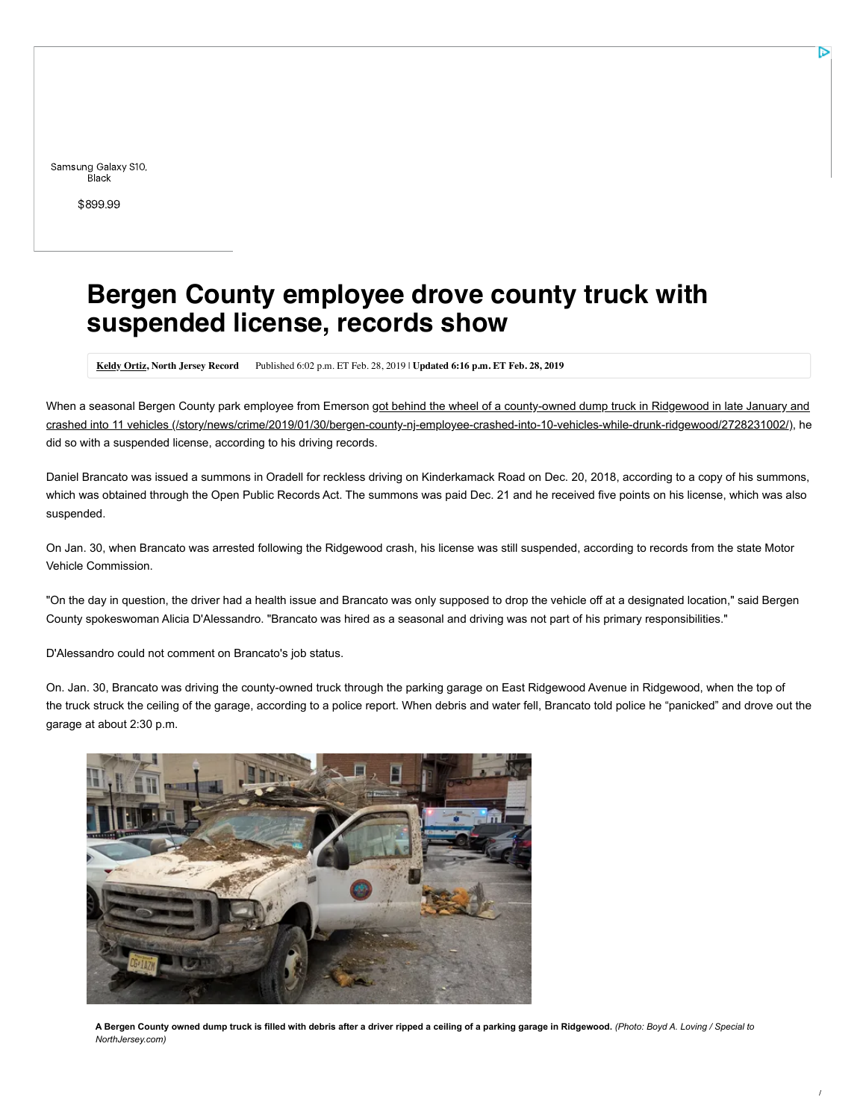Samsung Galaxy S10, **Black** 

[\\$899.99](https://cat.va.us.criteo.com/delivery/ck.php?cppv=3&cpp=qoMShC8NOKinygO1zaDxwMCXlPB0U_dVP_0KyZ4dniLf0W-GpfFX0t3llLy0j1EaGaGGBzhSsnTvaQ9-uhGHP4z5MhinefspTwLNaS0LAgnlpe7G5peIXzINJZiCsu8lABtgBPblTDtsMllRnmk0iJt8pPmetGm_8nnnemYDNyuzf01HhJD0wKqYsiwqzMhUUdDxmZot4ldsTFra9BlbVSGSb3U6gkca60rzZOkCqO4bQK6_Hy7kDstXfTriNtNU78JGcs5AuRTB0Bo_BrnMKmfDsO5aTK5ovuU_fwUPC5aKBoXj3DxGsH0gI9TK_-0XFo8vnyRaBfH7vLrWeHzytMFnY_IMNpFRpfLTDyvTGGXxZfmRkP0Dt2mQ0930iEWv-MCXSkUZxZN8FYO1mnZys_tjaXCUaS_g1_J3t8ZXoJbCCbm5UkPZ2bFMfeucTGr1MF-Y1sA3qt8uSv4wMOSdgWoQ3jk&maxdest=https%3A%2F%2Fad.doubleclick.net%2Fddm%2Ftrackclk%2FN7443.154378CRITEO%2FB22391382.242942564%3Bdc_trk_aid%3D439765930%3Bdc_trk_cid%3D113905611%3Bdc_lat%3D%3Bdc_rdid%3D%3Btag_for_child_directed_treatment%3D%3Btfua%3D%3Fhttps%3A%2F%2Fwww.sprint.com%2Fen%2Fshop%2Fcell-phones%2Fsamsung-galaxy-s10.html%3FensembleId%3DSPHG973UBLK%26duration%3D0%26contractType%3Dretail%26isDeepLinked%3Dtrue%26contractName%3D0-yr%26cm_mmc%3DWeb-_-LowerFunnel-_-AppleUsersDynamic-_-232666685)

## **Bergen County employee drove county truck with suspended license, records show**

**[Keldy Ortiz,](http://www.northjersey.com/staff/10056196/keldy-ortiz/) North Jersey Record** Published 6:02 p.m. ET Feb. 28, 2019 | **Updated 6:16 p.m. ET Feb. 28, 2019**

[When a seasonal Bergen County park employee from Emerson got behind the wheel of a county-owned dump truck in Ridgewood in late January and](https://www.northjersey.com/story/news/crime/2019/01/30/bergen-county-nj-employee-crashed-into-10-vehicles-while-drunk-ridgewood/2728231002/) crashed into 11 vehicles (/story/news/crime/2019/01/30/bergen-county-nj-employee-crashed-into-10-vehicles-while-drunk-ridgewood/2728231002/), he did so with a suspended license, according to his driving records.

Daniel Brancato was issued a summons in Oradell for reckless driving on Kinderkamack Road on Dec. 20, 2018, according to a copy of his summons, which was obtained through the Open Public Records Act. The summons was paid Dec. 21 and he received five points on his license, which was also suspended.

On Jan. 30, when Brancato was arrested following the Ridgewood crash, his license was still suspended, according to records from the state Motor Vehicle Commission.

"On the day in question, the driver had a health issue and Brancato was only supposed to drop the vehicle off at a designated location," said Bergen County spokeswoman Alicia D'Alessandro. "Brancato was hired as a seasonal and driving was not part of his primary responsibilities."

D'Alessandro could not comment on Brancato's job status.

On. Jan. 30, Brancato was driving the county-owned truck through the parking garage on East Ridgewood Avenue in Ridgewood, when the top of the truck struck the ceiling of the garage, according to a police report. When debris and water fell, Brancato told police he "panicked" and drove out the garage at about 2:30 p.m.



**A Bergen County owned dump truck is filled with debris after a driver ripped a ceiling of a parking garage in Ridgewood.** *(Photo: Boyd A. Loving / Special to NorthJersey.com)*

/